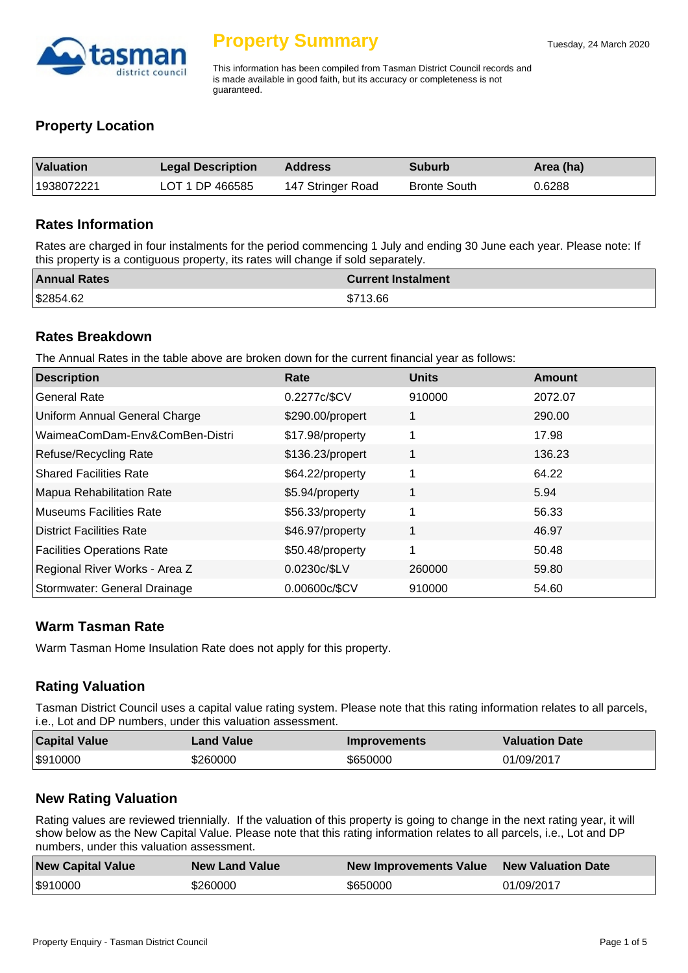

This information has been compiled from Tasman District Council records and is made available in good faith, but its accuracy or completeness is not guaranteed.

### **Property Location**

| Valuation  | <b>Legal Description</b> | <b>Address</b>    | <b>Suburb</b>       | Area (ha) |
|------------|--------------------------|-------------------|---------------------|-----------|
| 1938072221 | LOT 1 DP 466585          | 147 Stringer Road | <b>Bronte South</b> | 0.6288    |

#### **Rates Information**

Rates are charged in four instalments for the period commencing 1 July and ending 30 June each year. Please note: If this property is a contiguous property, its rates will change if sold separately.

| <b>Annual Rates</b> | <b>Current Instalment</b> |
|---------------------|---------------------------|
| \$2854.62           | \$713.66                  |

#### **Rates Breakdown**

The Annual Rates in the table above are broken down for the current financial year as follows:

| <b>Description</b>                | Rate             | <b>Units</b> | Amount  |
|-----------------------------------|------------------|--------------|---------|
| <b>General Rate</b>               | 0.2277c/\$CV     | 910000       | 2072.07 |
| Uniform Annual General Charge     | \$290.00/propert |              | 290.00  |
| WaimeaComDam-Env&ComBen-Distri    | \$17.98/property |              | 17.98   |
| <b>Refuse/Recycling Rate</b>      | \$136.23/propert |              | 136.23  |
| <b>Shared Facilities Rate</b>     | \$64.22/property |              | 64.22   |
| <b>Mapua Rehabilitation Rate</b>  | \$5.94/property  | 1            | 5.94    |
| Museums Facilities Rate           | \$56.33/property | 1            | 56.33   |
| <b>District Facilities Rate</b>   | \$46.97/property | 1            | 46.97   |
| <b>Facilities Operations Rate</b> | \$50.48/property | 1            | 50.48   |
| Regional River Works - Area Z     | 0.0230c/\$LV     | 260000       | 59.80   |
| Stormwater: General Drainage      | 0.00600c/\$CV    | 910000       | 54.60   |

#### **Warm Tasman Rate**

Warm Tasman Home Insulation Rate does not apply for this property.

#### **Rating Valuation**

Tasman District Council uses a capital value rating system. Please note that this rating information relates to all parcels, i.e., Lot and DP numbers, under this valuation assessment.

| <b>Capital Value</b> | <b>Land Value</b> | <b>Improvements</b> | <b>Valuation Date</b> |
|----------------------|-------------------|---------------------|-----------------------|
| \$910000             | \$260000          | \$650000            | 01/09/2017            |

#### **New Rating Valuation**

Rating values are reviewed triennially. If the valuation of this property is going to change in the next rating year, it will show below as the New Capital Value. Please note that this rating information relates to all parcels, i.e., Lot and DP numbers, under this valuation assessment.

| <b>New Capital Value</b> | <b>New Land Value</b> | New Improvements Value New Valuation Date |            |
|--------------------------|-----------------------|-------------------------------------------|------------|
| \$910000                 | \$260000              | \$650000                                  | 01/09/2017 |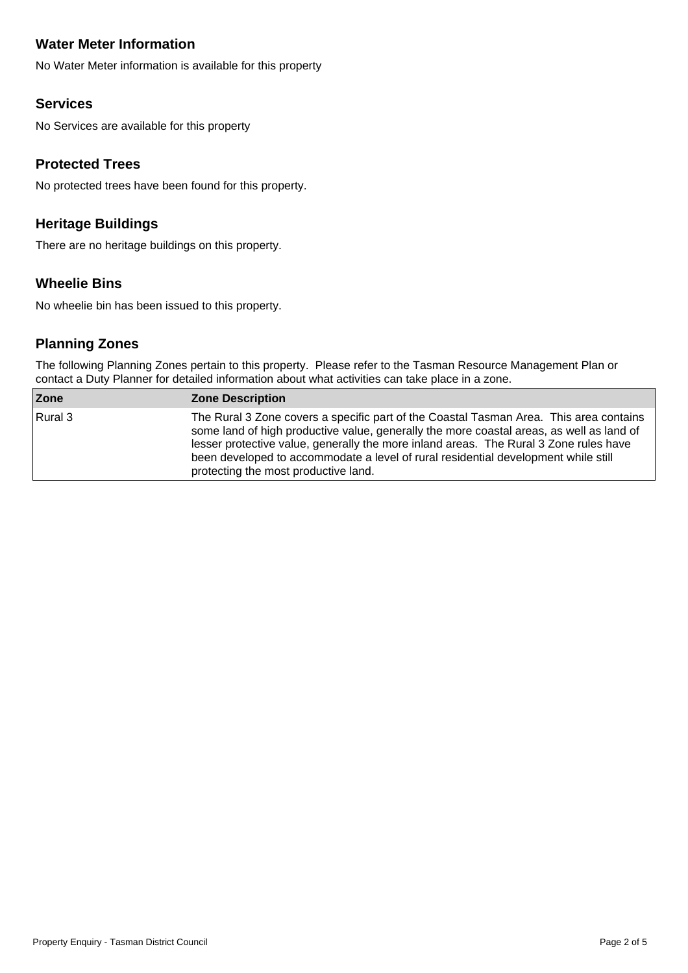# **Water Meter Information**

No Water Meter information is available for this property

### **Services**

No Services are available for this property

### **Protected Trees**

No protected trees have been found for this property.

# **Heritage Buildings**

There are no heritage buildings on this property.

# **Wheelie Bins**

No wheelie bin has been issued to this property.

# **Planning Zones**

The following Planning Zones pertain to this property. Please refer to the Tasman Resource Management Plan or contact a Duty Planner for detailed information about what activities can take place in a zone.

| Zone    | <b>Zone Description</b>                                                                                                                                                                                                                                                                                                                                                                                   |
|---------|-----------------------------------------------------------------------------------------------------------------------------------------------------------------------------------------------------------------------------------------------------------------------------------------------------------------------------------------------------------------------------------------------------------|
| Rural 3 | The Rural 3 Zone covers a specific part of the Coastal Tasman Area. This area contains<br>some land of high productive value, generally the more coastal areas, as well as land of<br>lesser protective value, generally the more inland areas. The Rural 3 Zone rules have<br>been developed to accommodate a level of rural residential development while still<br>protecting the most productive land. |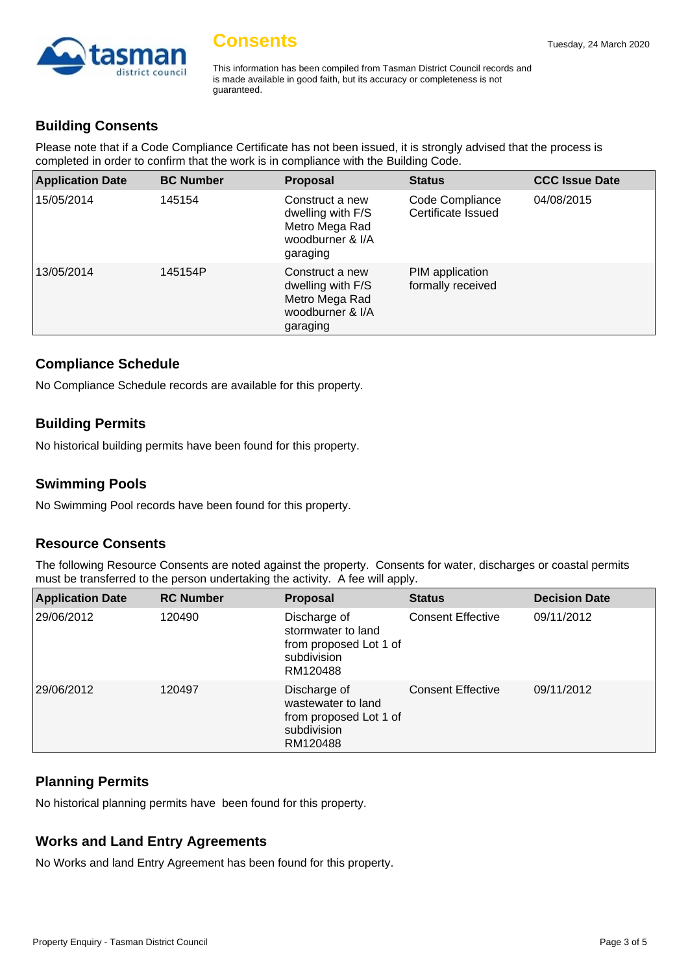

This information has been compiled from Tasman District Council records and is made available in good faith, but its accuracy or completeness is not guaranteed.

# **Building Consents**

Please note that if a Code Compliance Certificate has not been issued, it is strongly advised that the process is completed in order to confirm that the work is in compliance with the Building Code.

| <b>Application Date</b> | <b>BC Number</b> | <b>Proposal</b>                                                                        | <b>Status</b>                         | <b>CCC Issue Date</b> |
|-------------------------|------------------|----------------------------------------------------------------------------------------|---------------------------------------|-----------------------|
| 15/05/2014              | 145154           | Construct a new<br>dwelling with F/S<br>Metro Mega Rad<br>woodburner & I/A<br>garaging | Code Compliance<br>Certificate Issued | 04/08/2015            |
| 13/05/2014              | 145154P          | Construct a new<br>dwelling with F/S<br>Metro Mega Rad<br>woodburner & I/A<br>garaging | PIM application<br>formally received  |                       |

#### **Compliance Schedule**

No Compliance Schedule records are available for this property.

#### **Building Permits**

No historical building permits have been found for this property.

#### **Swimming Pools**

No Swimming Pool records have been found for this property.

#### **Resource Consents**

The following Resource Consents are noted against the property. Consents for water, discharges or coastal permits must be transferred to the person undertaking the activity. A fee will apply.

| <b>Application Date</b> | <b>RC Number</b> | <b>Proposal</b>                                                                         | <b>Status</b>            | <b>Decision Date</b> |
|-------------------------|------------------|-----------------------------------------------------------------------------------------|--------------------------|----------------------|
| 29/06/2012              | 120490           | Discharge of<br>stormwater to land<br>from proposed Lot 1 of<br>subdivision<br>RM120488 | <b>Consent Effective</b> | 09/11/2012           |
| 29/06/2012              | 120497           | Discharge of<br>wastewater to land<br>from proposed Lot 1 of<br>subdivision<br>RM120488 | <b>Consent Effective</b> | 09/11/2012           |

#### **Planning Permits**

No historical planning permits have been found for this property.

#### **Works and Land Entry Agreements**

No Works and land Entry Agreement has been found for this property.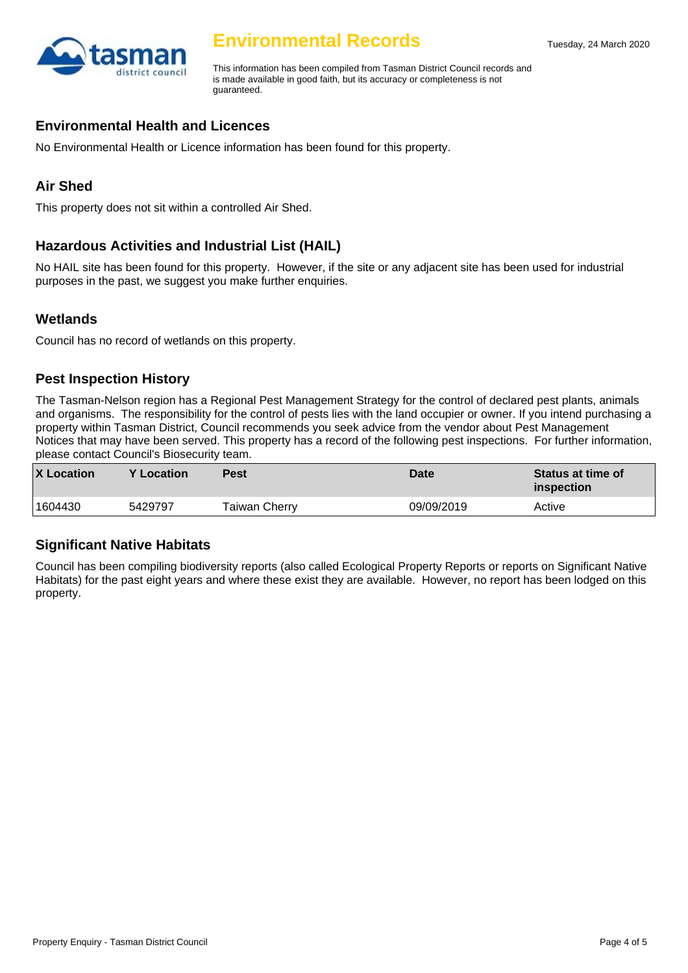

# **Environmental Records**

This information has been compiled from Tasman District Council records and is made available in good faith, but its accuracy or completeness is not guaranteed.

### **Environmental Health and Licences**

No Environmental Health or Licence information has been found for this property.

# **Air Shed**

This property does not sit within a controlled Air Shed.

# **Hazardous Activities and Industrial List (HAIL)**

No HAIL site has been found for this property. However, if the site or any adjacent site has been used for industrial purposes in the past, we suggest you make further enquiries.

# **Wetlands**

Council has no record of wetlands on this property.

#### **Pest Inspection History**

The Tasman-Nelson region has a Regional Pest Management Strategy for the control of declared pest plants, animals and organisms. The responsibility for the control of pests lies with the land occupier or owner. If you intend purchasing a property within Tasman District, Council recommends you seek advice from the vendor about Pest Management Notices that may have been served. This property has a record of the following pest inspections. For further information, please contact Council's Biosecurity team.

| <b>X</b> Location | Y Location | <b>Pest</b>   | <b>Date</b> | <b>Status at time of</b><br>inspection |
|-------------------|------------|---------------|-------------|----------------------------------------|
| 1604430           | 5429797    | Taiwan Cherry | 09/09/2019  | Active                                 |

#### **Significant Native Habitats**

Council has been compiling biodiversity reports (also called Ecological Property Reports or reports on Significant Native Habitats) for the past eight years and where these exist they are available. However, no report has been lodged on this property.